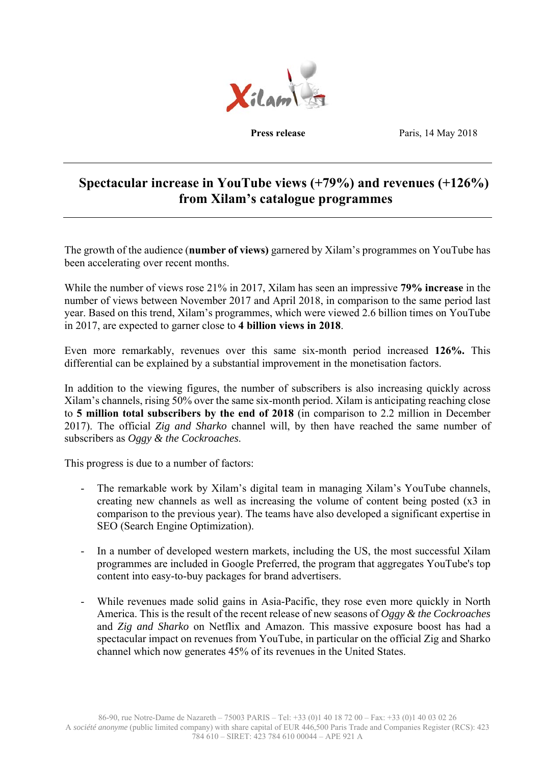

**Press release** Paris, 14 May 2018

# **Spectacular increase in YouTube views (+79%) and revenues (+126%) from Xilam's catalogue programmes**

The growth of the audience (**number of views)** garnered by Xilam's programmes on YouTube has been accelerating over recent months.

While the number of views rose 21% in 2017, Xilam has seen an impressive **79% increase** in the number of views between November 2017 and April 2018, in comparison to the same period last year. Based on this trend, Xilam's programmes, which were viewed 2.6 billion times on YouTube in 2017, are expected to garner close to **4 billion views in 2018**.

Even more remarkably, revenues over this same six-month period increased **126%.** This differential can be explained by a substantial improvement in the monetisation factors.

In addition to the viewing figures, the number of subscribers is also increasing quickly across Xilam's channels, rising 50% over the same six-month period. Xilam is anticipating reaching close to **5 million total subscribers by the end of 2018** (in comparison to 2.2 million in December 2017). The official *Zig and Sharko* channel will, by then have reached the same number of subscribers as *Oggy & the Cockroaches*.

This progress is due to a number of factors:

- The remarkable work by Xilam's digital team in managing Xilam's YouTube channels, creating new channels as well as increasing the volume of content being posted (x3 in comparison to the previous year). The teams have also developed a significant expertise in SEO (Search Engine Optimization).
- In a number of developed western markets, including the US, the most successful Xilam programmes are included in Google Preferred, the program that aggregates YouTube's top content into easy-to-buy packages for brand advertisers.
- While revenues made solid gains in Asia-Pacific, they rose even more quickly in North America. This is the result of the recent release of new seasons of *Oggy & the Cockroaches*  and *Zig and Sharko* on Netflix and Amazon. This massive exposure boost has had a spectacular impact on revenues from YouTube, in particular on the official Zig and Sharko channel which now generates 45% of its revenues in the United States.